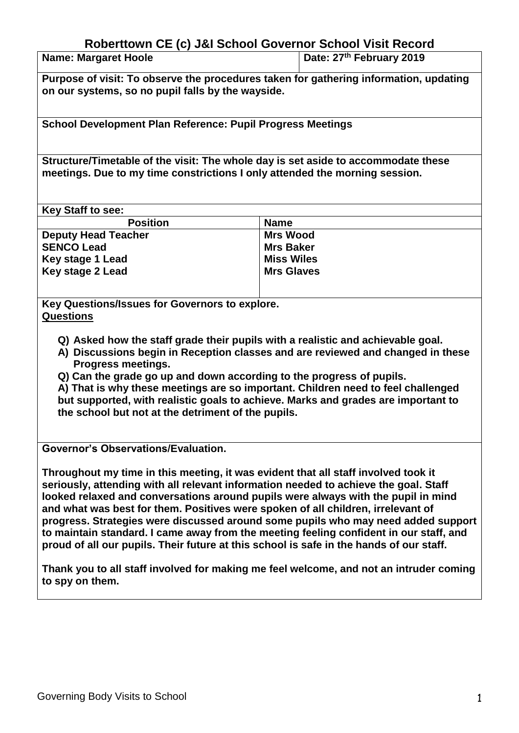## **Roberttown CE (c) J&I School Governor School Visit Record**

| <b>Name: Margaret Hoole</b> | Date: $27th$ February 2019 |
|-----------------------------|----------------------------|
|                             |                            |

**Purpose of visit: To observe the procedures taken for gathering information, updating on our systems, so no pupil falls by the wayside.**

**School Development Plan Reference: Pupil Progress Meetings**

**Structure/Timetable of the visit: The whole day is set aside to accommodate these meetings. Due to my time constrictions I only attended the morning session.**

| <b>Key Staff to see:</b>   |                   |  |
|----------------------------|-------------------|--|
| <b>Position</b>            | <b>Name</b>       |  |
| <b>Deputy Head Teacher</b> | <b>Mrs Wood</b>   |  |
| <b>SENCO Lead</b>          | <b>Mrs Baker</b>  |  |
| Key stage 1 Lead           | <b>Miss Wiles</b> |  |
| Key stage 2 Lead           | <b>Mrs Glaves</b> |  |
|                            |                   |  |

**Key Questions/Issues for Governors to explore. Questions**

- **Q) Asked how the staff grade their pupils with a realistic and achievable goal.**
- **A) Discussions begin in Reception classes and are reviewed and changed in these Progress meetings.**
- **Q) Can the grade go up and down according to the progress of pupils.**

**A) That is why these meetings are so important. Children need to feel challenged but supported, with realistic goals to achieve. Marks and grades are important to the school but not at the detriment of the pupils.**

**Governor's Observations/Evaluation.**

**Throughout my time in this meeting, it was evident that all staff involved took it seriously, attending with all relevant information needed to achieve the goal. Staff looked relaxed and conversations around pupils were always with the pupil in mind and what was best for them. Positives were spoken of all children, irrelevant of progress. Strategies were discussed around some pupils who may need added support to maintain standard. I came away from the meeting feeling confident in our staff, and proud of all our pupils. Their future at this school is safe in the hands of our staff.**

**Thank you to all staff involved for making me feel welcome, and not an intruder coming to spy on them.**